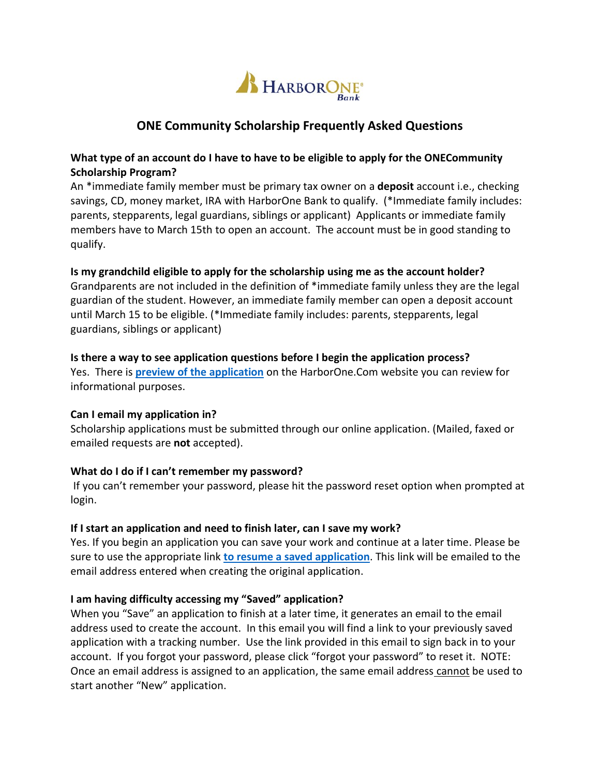

# **ONE Community Scholarship Frequently Asked Questions**

## **What type of an account do I have to have to be eligible to apply for the ONECommunity Scholarship Program?**

An \*immediate family member must be primary tax owner on a **deposit** account i.e., checking savings, CD, money market, IRA with HarborOne Bank to qualify. (\*Immediate family includes: parents, stepparents, legal guardians, siblings or applicant) Applicants or immediate family members have to March 15th to open an account. The account must be in good standing to qualify.

### **Is my grandchild eligible to apply for the scholarship using me as the account holder?**

Grandparents are not included in the definition of \*immediate family unless they are the legal guardian of the student. However, an immediate family member can open a deposit account until March 15 to be eligible. (\*Immediate family includes: parents, stepparents, legal guardians, siblings or applicant)

### **Is there a way to see application questions before I begin the application process?**

Yes. There is **preview of the [application](https://www.harborone.com/getattachment/About-Us/Community/Scholarship/ONECommunity-application-2018-Sample-Questions.pdf.aspx)** on the HarborOne.Com website you can review for informational purposes.

### **Can I email my application in?**

Scholarship applications must be submitted through our online application. (Mailed, faxed or emailed requests are **not** accepted).

## **What do I do if I can't remember my password?**

If you can't remember your password, please hit the password reset option when prompted at login.

### **If I start an application and need to finish later, can I save my work?**

Yes. If you begin an application you can save your work and continue at a later time. Please be sure to use the appropriate link **[to resume a saved application](https://www.grantrequest.com/Login.aspx?ReturnUrl=%2faccountmanager.aspx%3fSA%3dAM%26sid%3d5671&SA=AM&sid=5671)**. This link will be emailed to the email address entered when creating the original application.

### **I am having difficulty accessing my "Saved" application?**

When you "Save" an application to finish at a later time, it generates an email to the email address used to create the account. In this email you will find a link to your previously saved application with a tracking number. Use the link provided in this email to sign back in to your account. If you forgot your password, please click "forgot your password" to reset it. NOTE: Once an email address is assigned to an application, the same email address cannot be used to start another "New" application.